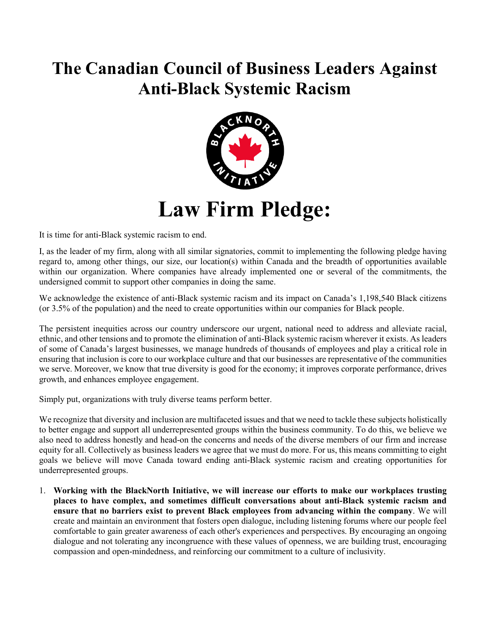## **The Canadian Council of Business Leaders Against Anti-Black Systemic Racism**



It is time for anti-Black systemic racism to end.

I, as the leader of my firm, along with all similar signatories, commit to implementing the following pledge having regard to, among other things, our size, our location(s) within Canada and the breadth of opportunities available within our organization. Where companies have already implemented one or several of the commitments, the undersigned commit to support other companies in doing the same.

We acknowledge the existence of anti-Black systemic racism and its impact on Canada's 1,198,540 Black citizens (or 3.5% of the population) and the need to create opportunities within our companies for Black people.

The persistent inequities across our country underscore our urgent, national need to address and alleviate racial, ethnic, and other tensions and to promote the elimination of anti-Black systemic racism wherever it exists. As leaders of some of Canada's largest businesses, we manage hundreds of thousands of employees and play a critical role in ensuring that inclusion is core to our workplace culture and that our businesses are representative of the communities we serve. Moreover, we know that true diversity is good for the economy; it improves corporate performance, drives growth, and enhances employee engagement.

Simply put, organizations with truly diverse teams perform better.

We recognize that diversity and inclusion are multifaceted issues and that we need to tackle these subjects holistically to better engage and support all underrepresented groups within the business community. To do this, we believe we also need to address honestly and head-on the concerns and needs of the diverse members of our firm and increase equity for all. Collectively as business leaders we agree that we must do more. For us, this means committing to eight goals we believe will move Canada toward ending anti-Black systemic racism and creating opportunities for underrepresented groups.

1. **Working with the BlackNorth Initiative, we will increase our efforts to make our workplaces trusting places to have complex, and sometimes difficult conversations about anti-Black systemic racism and ensure that no barriers exist to prevent Black employees from advancing within the company**. We will create and maintain an environment that fosters open dialogue, including listening forums where our people feel comfortable to gain greater awareness of each other's experiences and perspectives. By encouraging an ongoing dialogue and not tolerating any incongruence with these values of openness, we are building trust, encouraging compassion and open-mindedness, and reinforcing our commitment to a culture of inclusivity.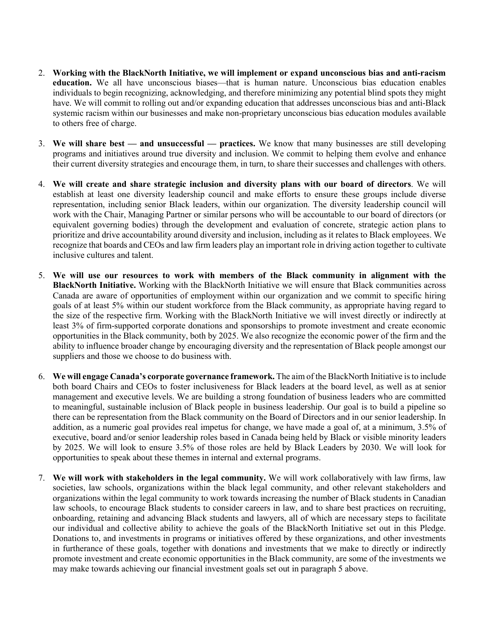- 2. **Working with the BlackNorth Initiative, we will implement or expand unconscious bias and anti-racism education.** We all have unconscious biases—that is human nature. Unconscious bias education enables individuals to begin recognizing, acknowledging, and therefore minimizing any potential blind spots they might have. We will commit to rolling out and/or expanding education that addresses unconscious bias and anti-Black systemic racism within our businesses and make non-proprietary unconscious bias education modules available to others free of charge.
- 3. **We will share best — and unsuccessful — practices.** We know that many businesses are still developing programs and initiatives around true diversity and inclusion. We commit to helping them evolve and enhance their current diversity strategies and encourage them, in turn, to share their successes and challenges with others.
- 4. **We will create and share strategic inclusion and diversity plans with our board of directors**. We will establish at least one diversity leadership council and make efforts to ensure these groups include diverse representation, including senior Black leaders, within our organization. The diversity leadership council will work with the Chair, Managing Partner or similar persons who will be accountable to our board of directors (or equivalent governing bodies) through the development and evaluation of concrete, strategic action plans to prioritize and drive accountability around diversity and inclusion, including as it relates to Black employees. We recognize that boards and CEOs and law firm leaders play an important role in driving action together to cultivate inclusive cultures and talent.
- 5. **We will use our resources to work with members of the Black community in alignment with the BlackNorth Initiative.** Working with the BlackNorth Initiative we will ensure that Black communities across Canada are aware of opportunities of employment within our organization and we commit to specific hiring goals of at least 5% within our student workforce from the Black community, as appropriate having regard to the size of the respective firm. Working with the BlackNorth Initiative we will invest directly or indirectly at least 3% of firm-supported corporate donations and sponsorships to promote investment and create economic opportunities in the Black community, both by 2025. We also recognize the economic power of the firm and the ability to influence broader change by encouraging diversity and the representation of Black people amongst our suppliers and those we choose to do business with.
- 6. **We will engage Canada's corporate governance framework.** The aim of the BlackNorth Initiative is to include both board Chairs and CEOs to foster inclusiveness for Black leaders at the board level, as well as at senior management and executive levels. We are building a strong foundation of business leaders who are committed to meaningful, sustainable inclusion of Black people in business leadership. Our goal is to build a pipeline so there can be representation from the Black community on the Board of Directors and in our senior leadership. In addition, as a numeric goal provides real impetus for change, we have made a goal of, at a minimum, 3.5% of executive, board and/or senior leadership roles based in Canada being held by Black or visible minority leaders by 2025. We will look to ensure 3.5% of those roles are held by Black Leaders by 2030. We will look for opportunities to speak about these themes in internal and external programs.
- 7. **We will work with stakeholders in the legal community.** We will work collaboratively with law firms, law societies, law schools, organizations within the black legal community, and other relevant stakeholders and organizations within the legal community to work towards increasing the number of Black students in Canadian law schools, to encourage Black students to consider careers in law, and to share best practices on recruiting, onboarding, retaining and advancing Black students and lawyers, all of which are necessary steps to facilitate our individual and collective ability to achieve the goals of the BlackNorth Initiative set out in this Pledge. Donations to, and investments in programs or initiatives offered by these organizations, and other investments in furtherance of these goals, together with donations and investments that we make to directly or indirectly promote investment and create economic opportunities in the Black community, are some of the investments we may make towards achieving our financial investment goals set out in paragraph 5 above.